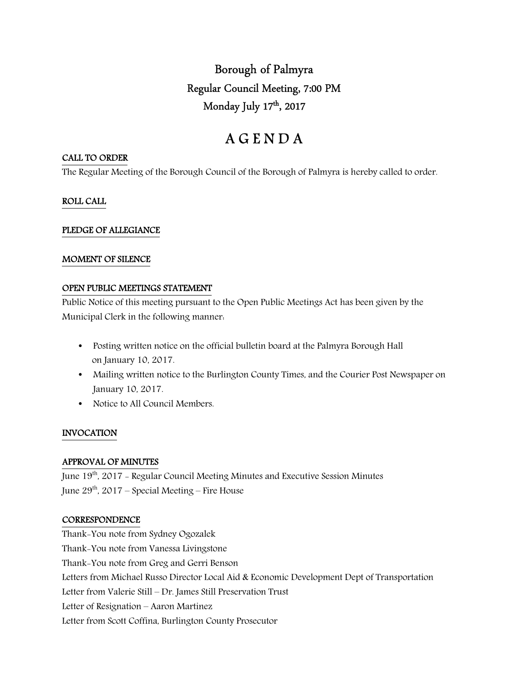Borough of Palmyra Regular Council Meeting, 7:00 PM Monday July 17th , 2017

# A G E N D A

#### CALL TO ORDER

The Regular Meeting of the Borough Council of the Borough of Palmyra is hereby called to order.

# ROLL CALL

## PLEDGE OF ALLEGIANCE

#### MOMENT OF SILENCE

#### OPEN PUBLIC MEETINGS STATEMENT

Public Notice of this meeting pursuant to the Open Public Meetings Act has been given by the Municipal Clerk in the following manner:

- Posting written notice on the official bulletin board at the Palmyra Borough Hall on January 10, 2017.
- Mailing written notice to the Burlington County Times, and the Courier Post Newspaper on January 10, 2017.
- Notice to All Council Members.

## INVOCATION

## APPROVAL OF MINUTES

June 19<sup>th</sup>, 2017 - Regular Council Meeting Minutes and Executive Session Minutes June  $29<sup>th</sup>$ , 2017 – Special Meeting – Fire House

## **CORRESPONDENCE**

Thank-You note from Sydney Ogozalek Thank-You note from Vanessa Livingstone Thank-You note from Greg and Gerri Benson Letters from Michael Russo Director Local Aid & Economic Development Dept of Transportation Letter from Valerie Still – Dr. James Still Preservation Trust Letter of Resignation – Aaron Martinez Letter from Scott Coffina, Burlington County Prosecutor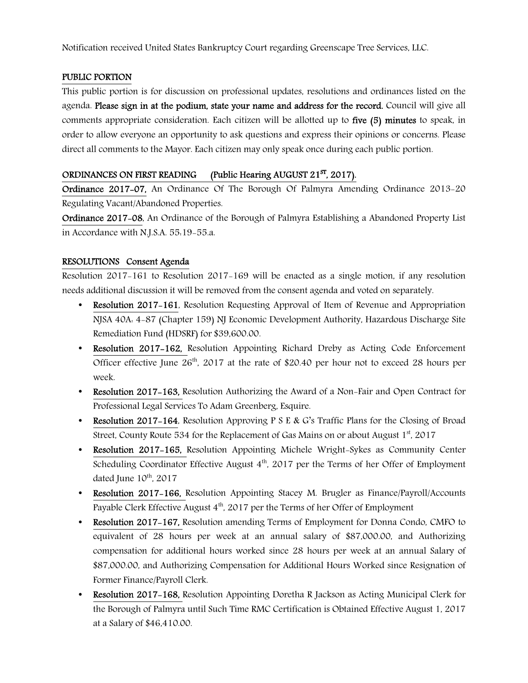Notification received United States Bankruptcy Court regarding Greenscape Tree Services, LLC.

## PUBLIC PORTION

This public portion is for discussion on professional updates, resolutions and ordinances listed on the agenda. Please sign in at the podium, state your name and address for the record. Council will give all comments appropriate consideration. Each citizen will be allotted up to five (5) minutes to speak, in order to allow everyone an opportunity to ask questions and express their opinions or concerns. Please direct all comments to the Mayor. Each citizen may only speak once during each public portion.

# ORDINANCES ON FIRST READING (Public Hearing AUGUST 21<sup>ST</sup>, 2017).

Ordinance 2017-07, An Ordinance Of The Borough Of Palmyra Amending Ordinance 2013-20 Regulating Vacant/Abandoned Properties.

Ordinance 2017-08, An Ordinance of the Borough of Palmyra Establishing a Abandoned Property List in Accordance with N.J.S.A. 55:19-55.a.

## RESOLUTIONS Consent Agenda

Resolution 2017-161 to Resolution 2017-169 will be enacted as a single motion, if any resolution needs additional discussion it will be removed from the consent agenda and voted on separately.

- Resolution 2017–161, Resolution Requesting Approval of Item of Revenue and Appropriation NJSA 40A: 4-87 (Chapter 159) NJ Economic Development Authority, Hazardous Discharge Site Remediation Fund (HDSRF) for \$39,600.00.
- Resolution 2017-162, Resolution Appointing Richard Dreby as Acting Code Enforcement Officer effective June  $26<sup>th</sup>$ , 2017 at the rate of \$20.40 per hour not to exceed 28 hours per week.
- Resolution 2017–163, Resolution Authorizing the Award of a Non-Fair and Open Contract for Professional Legal Services To Adam Greenberg, Esquire.
- Resolution 2017–164, Resolution Approving P S E & G's Traffic Plans for the Closing of Broad Street, County Route 534 for the Replacement of Gas Mains on or about August  $1<sup>st</sup>$ , 2017
- Resolution 2017-165, Resolution Appointing Michele Wright-Sykes as Community Center Scheduling Coordinator Effective August 4<sup>th</sup>, 2017 per the Terms of her Offer of Employment dated June 10<sup>th</sup>, 2017
- Resolution 2017-166, Resolution Appointing Stacey M. Brugler as Finance/Payroll/Accounts Payable Clerk Effective August 4<sup>th</sup>, 2017 per the Terms of her Offer of Employment
- Resolution 2017-167, Resolution amending Terms of Employment for Donna Condo, CMFO to equivalent of 28 hours per week at an annual salary of \$87,000.00, and Authorizing compensation for additional hours worked since 28 hours per week at an annual Salary of \$87,000.00, and Authorizing Compensation for Additional Hours Worked since Resignation of Former Finance/Payroll Clerk.
- Resolution 2017–168, Resolution Appointing Doretha R Jackson as Acting Municipal Clerk for the Borough of Palmyra until Such Time RMC Certification is Obtained Effective August 1, 2017 at a Salary of \$46,410.00.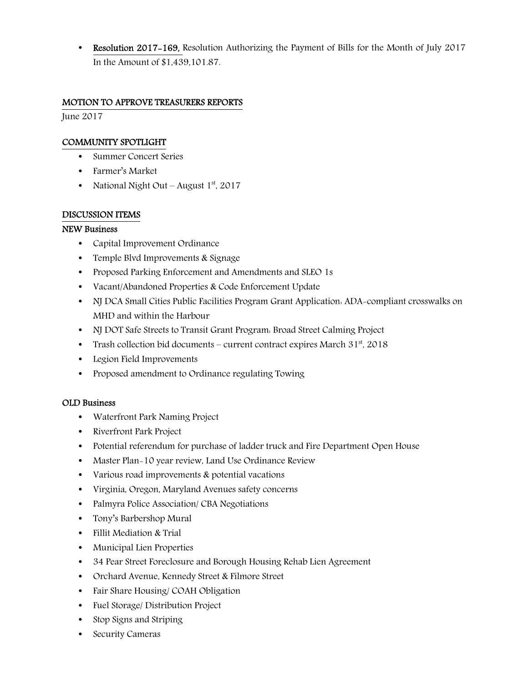**Resolution 2017–169, Resolution Authorizing the Payment of Bills for the Month of July 2017** In the Amount of \$1,439,101.87.

# MOTION TO APPROVE TREASURERS REPORTS

June 2017

# COMMUNITY SPOTLIGHT

- Summer Concert Series
- Farmer's Market
- National Night Out August  $1<sup>st</sup>$ , 2017

## DISCUSSION ITEMS

## NEW Business

- Capital Improvement Ordinance
- Temple Blvd Improvements & Signage
- Proposed Parking Enforcement and Amendments and SLEO 1s
- Vacant/Abandoned Properties & Code Enforcement Update
- NJ DCA Small Cities Public Facilities Program Grant Application: ADA-compliant crosswalks on MHD and within the Harbour
- NJ DOT Safe Streets to Transit Grant Program: Broad Street Calming Project
- Trash collection bid documents current contract expires March  $31<sup>st</sup>$ , 2018
- Legion Field Improvements
- Proposed amendment to Ordinance regulating Towing

## OLD Business

- Waterfront Park Naming Project
- Riverfront Park Project
- Potential referendum for purchase of ladder truck and Fire Department Open House
- Master Plan-10 year review, Land Use Ordinance Review
- Various road improvements & potential vacations
- Virginia, Oregon, Maryland Avenues safety concerns
- Palmyra Police Association/ CBA Negotiations
- Tony's Barbershop Mural
- Fillit Mediation & Trial
- Municipal Lien Properties
- 34 Pear Street Foreclosure and Borough Housing Rehab Lien Agreement
- Orchard Avenue, Kennedy Street & Filmore Street
- Fair Share Housing/ COAH Obligation
- Fuel Storage/ Distribution Project
- Stop Signs and Striping
- Security Cameras